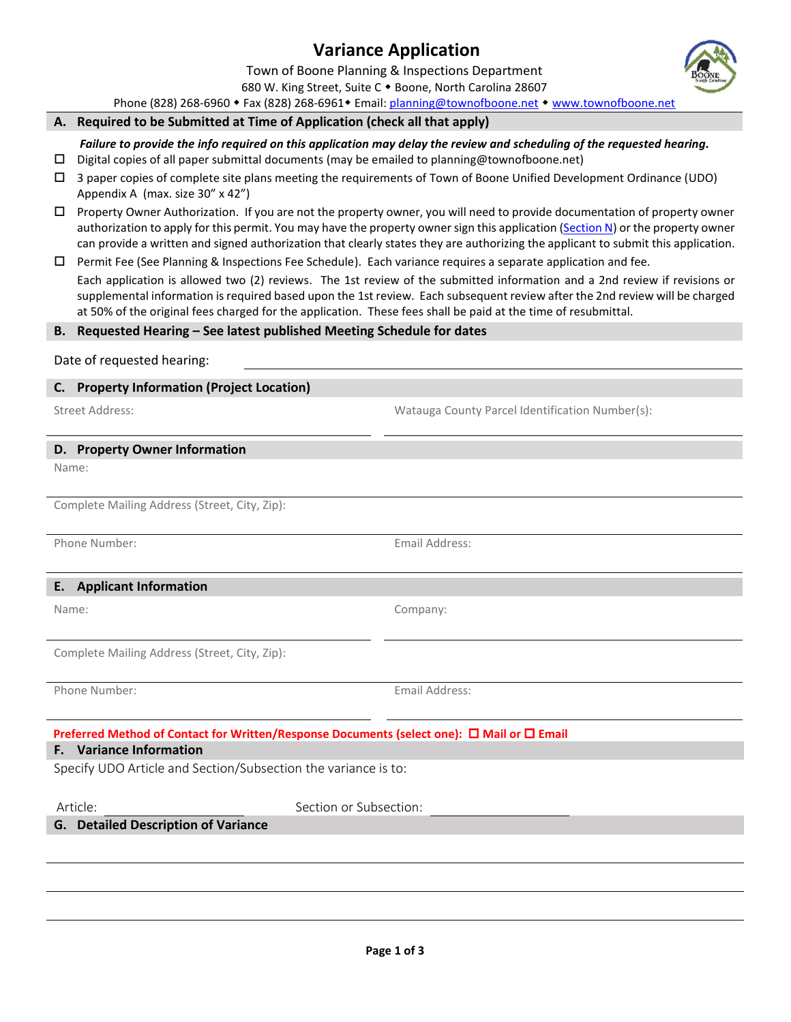# **Variance Application**

Town of Boone Planning & Inspections Department

680 W. King Street, Suite C . Boone, North Carolina 28607 Phone (828) 268-6960 • Fax (828) 268-6961 • Email[: planning@townofboone.net](mailto:planning@townofboone.net) • [www.townofboone.net](http://www.townofboone.net/)

### **A. Required to be Submitted at Time of Application (check all that apply)**

*Failure to provide the info required on this application may delay the review and scheduling of the requested hearing.*

- $\Box$  Digital copies of all paper submittal documents (may be emailed to planning@townofboone.net)
- 3 paper copies of complete site plans meeting the requirements of Town of Boone Unified Development Ordinance (UDO) Appendix A (max. size 30" x 42")
- Property Owner Authorization. If you are not the property owner, you will need to provide documentation of property owner authorization to apply for this permit. You may have the property owner sign this application [\(Section N\)](#page-1-0) or the property owner can provide a written and signed authorization that clearly states they are authorizing the applicant to submit this application.

 $\Box$  Permit Fee (See Planning & Inspections Fee Schedule). Each variance requires a separate application and fee. Each application is allowed two (2) reviews. The 1st review of the submitted information and a 2nd review if revisions or supplemental information is required based upon the 1st review. Each subsequent review after the 2nd review will be charged at 50% of the original fees charged for the application. These fees shall be paid at the time of resubmittal.

### **B. Requested Hearing – See latest published Meeting Schedule for dates**

Date of requested hearing:

### **C. Property Information (Project Location)**

Street Address: Watauga County Parcel Identification Number(s):

### **D. Property Owner Information**

Name:

Complete Mailing Address (Street, City, Zip):

Phone Number: Email Address: Email Address:

### **E. Applicant Information**

Complete Mailing Address (Street, City, Zip):

Phone Number: Email Address:

Company:

# **Preferred Method of Contact for Written/Response Documents (select one): □ Mail or □ Email**

# **F. Variance Information**

Specify UDO Article and Section/Subsection the variance is to:

Section or Subsection:

### **G. Detailed Description of Variance**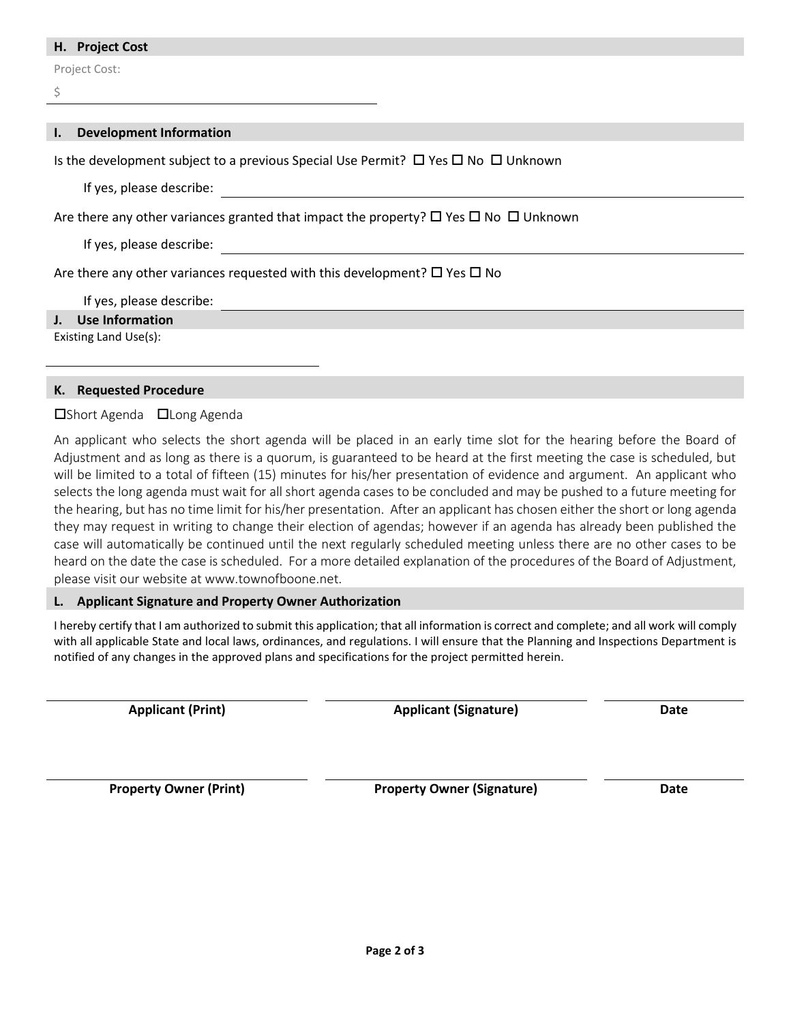#### **H. Project Cost**

Project Cost:

 $\zeta$ 

| <b>Development Information</b><br>I.,                                                               |
|-----------------------------------------------------------------------------------------------------|
|                                                                                                     |
| Is the development subject to a previous Special Use Permit? $\Box$ Yes $\Box$ No $\Box$ Unknown    |
| If yes, please describe:                                                                            |
|                                                                                                     |
| Are there any other variances granted that impact the property? $\Box$ Yes $\Box$ No $\Box$ Unknown |
| If yes, please describe:                                                                            |
| Are there any other variances requested with this development? $\square$ Yes $\square$ No           |
|                                                                                                     |
| If yes, please describe:                                                                            |
| J. Use Information                                                                                  |
| Existing Land Use(s):                                                                               |

### **K. Requested Procedure**

### $\square$ Short Agenda  $\square$ Long Agenda

An applicant who selects the short agenda will be placed in an early time slot for the hearing before the Board of Adjustment and as long as there is a quorum, is guaranteed to be heard at the first meeting the case is scheduled, but will be limited to a total of fifteen (15) minutes for his/her presentation of evidence and argument. An applicant who selects the long agenda must wait for all short agenda cases to be concluded and may be pushed to a future meeting for the hearing, but has no time limit for his/her presentation. After an applicant has chosen either the short or long agenda they may request in writing to change their election of agendas; however if an agenda has already been published the case will automatically be continued until the next regularly scheduled meeting unless there are no other cases to be heard on the date the case is scheduled. For a more detailed explanation of the procedures of the Board of Adjustment, please visit our website at www.townofboone.net.

#### <span id="page-1-0"></span>**L. Applicant Signature and Property Owner Authorization**

I hereby certify that I am authorized to submit this application; that all information is correct and complete; and all work will comply with all applicable State and local laws, ordinances, and regulations. I will ensure that the Planning and Inspections Department is notified of any changes in the approved plans and specifications for the project permitted herein.

**Applicant (Print) Applicant (Signature) Date**

**Property Owner (Print) Property Owner (Signature) Date**